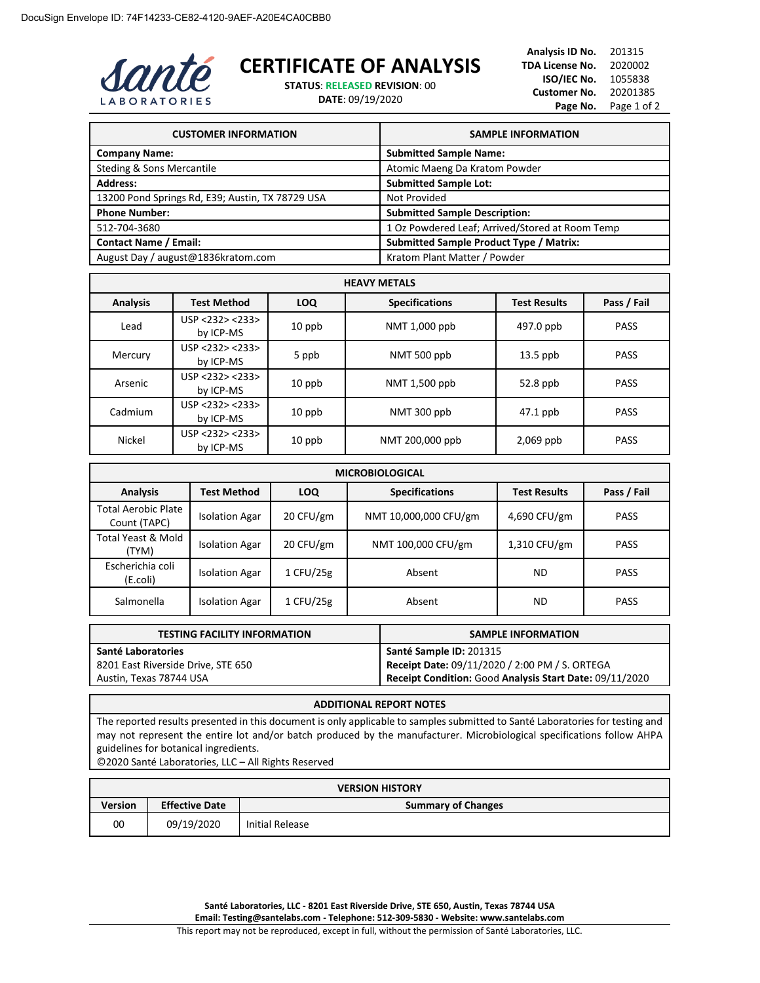

## **CERTIFICATE OF ANALYSIS**

**STATUS**: **RELEASED REVISION**: 00

**DATE**: 09/19/2020

| <b>CUSTOMER INFORMATION</b>                      | <b>SAMPLE INFORMATION</b>                       |
|--------------------------------------------------|-------------------------------------------------|
| <b>Company Name:</b>                             | <b>Submitted Sample Name:</b>                   |
| <b>Steding &amp; Sons Mercantile</b>             | Atomic Maeng Da Kratom Powder                   |
| <b>Address:</b>                                  | <b>Submitted Sample Lot:</b>                    |
| 13200 Pond Springs Rd, E39; Austin, TX 78729 USA | Not Provided                                    |
| <b>Phone Number:</b>                             | <b>Submitted Sample Description:</b>            |
| 512-704-3680                                     | 1 Oz Powdered Leaf; Arrived/Stored at Room Temp |
| <b>Contact Name / Email:</b>                     | <b>Submitted Sample Product Type / Matrix:</b>  |
| August Day / august@1836kratom.com               | Kratom Plant Matter / Powder                    |

| <b>HEAVY METALS</b> |                              |            |                       |                     |             |
|---------------------|------------------------------|------------|-----------------------|---------------------|-------------|
| <b>Analysis</b>     | <b>Test Method</b>           | <b>LOQ</b> | <b>Specifications</b> | <b>Test Results</b> | Pass / Fail |
| Lead                | USP < 232 > 233<br>by ICP-MS | $10$ ppb   | NMT 1,000 ppb         | 497.0 ppb           | <b>PASS</b> |
| Mercury             | USP < 232 > 233<br>by ICP-MS | 5 ppb      | NMT 500 ppb           | $13.5$ ppb          | <b>PASS</b> |
| Arsenic             | USP < 232 > 233<br>by ICP-MS | $10$ ppb   | NMT 1,500 ppb         | $52.8$ ppb          | <b>PASS</b> |
| Cadmium             | USP <232> <233><br>by ICP-MS | $10$ ppb   | NMT 300 ppb           | $47.1$ ppb          | <b>PASS</b> |
| Nickel              | USP <232> <233><br>by ICP-MS | $10$ ppb   | NMT 200,000 ppb       | $2,069$ ppb         | <b>PASS</b> |

| <b>MICROBIOLOGICAL</b>                     |                       |            |                       |                     |             |
|--------------------------------------------|-----------------------|------------|-----------------------|---------------------|-------------|
| <b>Analysis</b>                            | Test Method           | <b>LOQ</b> | <b>Specifications</b> | <b>Test Results</b> | Pass / Fail |
| <b>Total Aerobic Plate</b><br>Count (TAPC) | <b>Isolation Agar</b> | 20 CFU/gm  | NMT 10,000,000 CFU/gm | 4,690 CFU/gm        | <b>PASS</b> |
| Total Yeast & Mold<br>(TYM)                | <b>Isolation Agar</b> | 20 CFU/gm  | NMT 100,000 CFU/gm    | 1,310 CFU/gm        | <b>PASS</b> |
| Escherichia coli<br>(E.coli)               | <b>Isolation Agar</b> | 1 CFU/25g  | Absent                | <b>ND</b>           | <b>PASS</b> |
| Salmonella                                 | <b>Isolation Agar</b> | 1 CFU/25g  | Absent                | ND                  | <b>PASS</b> |

| <b>TESTING FACILITY INFORMATION</b> | <b>SAMPLE INFORMATION</b>                               |
|-------------------------------------|---------------------------------------------------------|
| Santé Laboratories                  | Santé Sample ID: 201315                                 |
| 8201 East Riverside Drive, STE 650  | Receipt Date: 09/11/2020 / 2:00 PM / S. ORTEGA          |
| Austin, Texas 78744 USA             | Receipt Condition: Good Analysis Start Date: 09/11/2020 |

## **ADDITIONAL REPORT NOTES**

The reported results presented in this document is only applicable to samples submitted to Santé Laboratories for testing and may not represent the entire lot and/or batch produced by the manufacturer. Microbiological specifications follow AHPA guidelines for botanical ingredients.

©2020 Santé Laboratories, LLC – All Rights Reserved

| <b>VERSION HISTORY</b> |                       |                           |
|------------------------|-----------------------|---------------------------|
| Version                | <b>Effective Date</b> | <b>Summary of Changes</b> |
| 00                     | 09/19/2020            | Initial Release           |